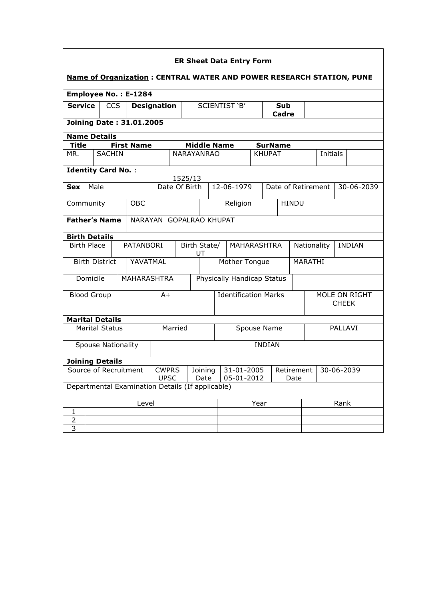| <b>ER Sheet Data Entry Form</b>                                                    |                                                                         |                           |  |                   |                                                  |               |                            |                                                |                             |  |                |         |                               |         |  |
|------------------------------------------------------------------------------------|-------------------------------------------------------------------------|---------------------------|--|-------------------|--------------------------------------------------|---------------|----------------------------|------------------------------------------------|-----------------------------|--|----------------|---------|-------------------------------|---------|--|
| <b>Name of Organization: CENTRAL WATER AND POWER RESEARCH STATION, PUNE</b>        |                                                                         |                           |  |                   |                                                  |               |                            |                                                |                             |  |                |         |                               |         |  |
| Employee No.: E-1284                                                               |                                                                         |                           |  |                   |                                                  |               |                            |                                                |                             |  |                |         |                               |         |  |
|                                                                                    | <b>Service</b><br><b>CCS</b><br><b>Designation</b>                      |                           |  |                   |                                                  | SCIENTIST 'B' |                            | <b>Sub</b><br>Cadre                            |                             |  |                |         |                               |         |  |
|                                                                                    | <b>Joining Date: 31.01.2005</b>                                         |                           |  |                   |                                                  |               |                            |                                                |                             |  |                |         |                               |         |  |
| <b>Name Details</b>                                                                |                                                                         |                           |  |                   |                                                  |               |                            |                                                |                             |  |                |         |                               |         |  |
| <b>Title</b>                                                                       |                                                                         |                           |  | <b>First Name</b> |                                                  |               | <b>Middle Name</b>         |                                                |                             |  | <b>SurName</b> |         |                               |         |  |
| MR.                                                                                |                                                                         | <b>SACHIN</b>             |  |                   |                                                  |               | <b>NARAYANRAO</b>          |                                                |                             |  | <b>KHUPAT</b>  |         | Initials                      |         |  |
| <b>Identity Card No.:</b>                                                          |                                                                         |                           |  |                   |                                                  |               |                            |                                                |                             |  |                |         |                               |         |  |
| 1525/13<br>12-06-1979<br>Male<br>Date Of Birth<br>Date of Retirement<br>30-06-2039 |                                                                         |                           |  |                   |                                                  |               |                            |                                                |                             |  |                |         |                               |         |  |
| <b>Sex</b>                                                                         |                                                                         |                           |  |                   |                                                  |               |                            |                                                |                             |  |                |         |                               |         |  |
|                                                                                    | <b>OBC</b><br>Community                                                 |                           |  |                   |                                                  |               |                            |                                                | Religion                    |  | <b>HINDU</b>   |         |                               |         |  |
|                                                                                    | <b>Father's Name</b><br>NARAYAN GOPALRAO KHUPAT                         |                           |  |                   |                                                  |               |                            |                                                |                             |  |                |         |                               |         |  |
| <b>Birth Details</b>                                                               |                                                                         |                           |  |                   |                                                  |               |                            |                                                |                             |  |                |         |                               |         |  |
| <b>Birth Place</b>                                                                 |                                                                         |                           |  | <b>PATANBORI</b>  |                                                  |               | Birth State/<br>UT         | MAHARASHTRA                                    |                             |  |                |         | Nationality<br><b>INDIAN</b>  |         |  |
|                                                                                    |                                                                         | <b>Birth District</b>     |  | YAVATMAL          |                                                  |               | Mother Tongue              |                                                |                             |  |                | MARATHI |                               |         |  |
|                                                                                    | Domicile                                                                |                           |  |                   | <b>MAHARASHTRA</b>                               |               | Physically Handicap Status |                                                |                             |  |                |         |                               |         |  |
| <b>Blood Group</b>                                                                 |                                                                         |                           |  |                   | $A+$                                             |               |                            |                                                | <b>Identification Marks</b> |  |                |         | MOLE ON RIGHT<br><b>CHEEK</b> |         |  |
| <b>Marital Details</b>                                                             |                                                                         |                           |  |                   |                                                  |               |                            |                                                |                             |  |                |         |                               |         |  |
|                                                                                    |                                                                         | <b>Marital Status</b>     |  |                   | Married                                          |               |                            |                                                |                             |  | Spouse Name    |         |                               | PALLAVI |  |
|                                                                                    |                                                                         | <b>Spouse Nationality</b> |  |                   |                                                  |               |                            |                                                | <b>INDIAN</b>               |  |                |         |                               |         |  |
| <b>Joining Details</b>                                                             |                                                                         |                           |  |                   |                                                  |               |                            |                                                |                             |  |                |         |                               |         |  |
|                                                                                    | Source of Recruitment<br><b>CWPRS</b><br>Joining<br><b>UPSC</b><br>Date |                           |  |                   |                                                  |               |                            | 31-01-2005<br>Retirement<br>05-01-2012<br>Date |                             |  | 30-06-2039     |         |                               |         |  |
|                                                                                    |                                                                         |                           |  |                   | Departmental Examination Details (If applicable) |               |                            |                                                |                             |  |                |         |                               |         |  |
| Level                                                                              |                                                                         |                           |  |                   |                                                  |               | Year                       |                                                |                             |  | Rank           |         |                               |         |  |
| 1                                                                                  |                                                                         |                           |  |                   |                                                  |               |                            |                                                |                             |  |                |         |                               |         |  |
| 2                                                                                  |                                                                         |                           |  |                   |                                                  |               |                            |                                                |                             |  |                |         |                               |         |  |
| 3                                                                                  |                                                                         |                           |  |                   |                                                  |               |                            |                                                |                             |  |                |         |                               |         |  |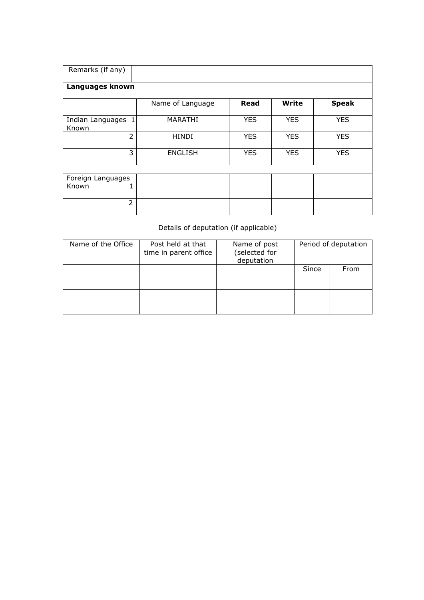| Remarks (if any)            |                  |            |              |              |  |  |  |  |  |  |  |  |
|-----------------------------|------------------|------------|--------------|--------------|--|--|--|--|--|--|--|--|
| Languages known             |                  |            |              |              |  |  |  |  |  |  |  |  |
|                             | Name of Language | Read       | <b>Write</b> | <b>Speak</b> |  |  |  |  |  |  |  |  |
| Indian Languages 1<br>Known | MARATHI          | <b>YES</b> | <b>YES</b>   | <b>YES</b>   |  |  |  |  |  |  |  |  |
| $\overline{2}$              | <b>HINDI</b>     | <b>YES</b> | <b>YES</b>   | <b>YES</b>   |  |  |  |  |  |  |  |  |
| 3                           | <b>ENGLISH</b>   | <b>YES</b> | <b>YES</b>   | <b>YES</b>   |  |  |  |  |  |  |  |  |
|                             |                  |            |              |              |  |  |  |  |  |  |  |  |
| Foreign Languages           |                  |            |              |              |  |  |  |  |  |  |  |  |
| Known<br>1                  |                  |            |              |              |  |  |  |  |  |  |  |  |
| $\overline{2}$              |                  |            |              |              |  |  |  |  |  |  |  |  |

## Details of deputation (if applicable)

| Name of the Office | Post held at that<br>time in parent office | Name of post<br>(selected for<br>deputation |       | Period of deputation |
|--------------------|--------------------------------------------|---------------------------------------------|-------|----------------------|
|                    |                                            |                                             | Since | From                 |
|                    |                                            |                                             |       |                      |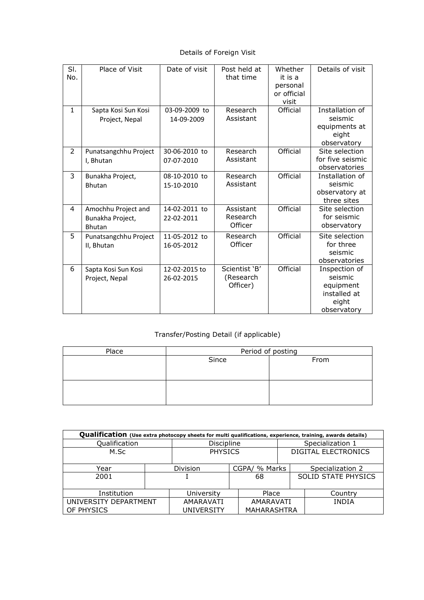Details of Foreign Visit

| SI.<br>No.     | Place of Visit                                           | Date of visit               | Post held at<br>that time              | Whether<br>it is a<br>personal<br>or official<br>visit | Details of visit                                                              |
|----------------|----------------------------------------------------------|-----------------------------|----------------------------------------|--------------------------------------------------------|-------------------------------------------------------------------------------|
| $\mathbf{1}$   | Sapta Kosi Sun Kosi<br>Project, Nepal                    | 03-09-2009 to<br>14-09-2009 | Research<br>Assistant                  | Official                                               | Installation of<br>seismic<br>equipments at<br>eight<br>observatory           |
| $\overline{2}$ | Punatsangchhu Project<br>I, Bhutan                       | 30-06-2010 to<br>07-07-2010 | Research<br>Assistant                  | Official                                               | Site selection<br>for five seismic<br>observatories                           |
| 3              | Bunakha Project,<br><b>Bhutan</b>                        | 08-10-2010 to<br>15-10-2010 | Research<br>Assistant                  | Official                                               | Installation of<br>seismic<br>observatory at<br>three sites                   |
| 4              | Amochhu Project and<br>Bunakha Project,<br><b>Bhutan</b> | 14-02-2011 to<br>22-02-2011 | Assistant<br>Research<br>Officer       | Official                                               | Site selection<br>for seismic<br>observatory                                  |
| 5              | Punatsangchhu Project<br>II, Bhutan                      | 11-05-2012 to<br>16-05-2012 | Research<br>Officer                    | Official                                               | Site selection<br>for three<br>seismic<br>observatories                       |
| 6              | Sapta Kosi Sun Kosi<br>Project, Nepal                    | 12-02-2015 to<br>26-02-2015 | Scientist 'B'<br>(Research<br>Officer) | Official                                               | Inspection of<br>seismic<br>equipment<br>installed at<br>eight<br>observatory |

## Transfer/Posting Detail (if applicable)

| Period of posting |      |  |  |  |  |  |  |
|-------------------|------|--|--|--|--|--|--|
| Since             | From |  |  |  |  |  |  |
|                   |      |  |  |  |  |  |  |
|                   |      |  |  |  |  |  |  |
|                   |      |  |  |  |  |  |  |
|                   |      |  |  |  |  |  |  |
|                   |      |  |  |  |  |  |  |

| Qualification (Use extra photocopy sheets for multi qualifications, experience, training, awards details) |                |                   |               |                            |                            |  |  |  |  |  |
|-----------------------------------------------------------------------------------------------------------|----------------|-------------------|---------------|----------------------------|----------------------------|--|--|--|--|--|
| Qualification                                                                                             |                | <b>Discipline</b> |               |                            | Specialization 1           |  |  |  |  |  |
| M.Sc                                                                                                      | <b>PHYSICS</b> |                   |               | <b>DIGITAL ELECTRONICS</b> |                            |  |  |  |  |  |
| Year                                                                                                      | Division       |                   | CGPA/ % Marks |                            | Specialization 2           |  |  |  |  |  |
| 2001                                                                                                      |                |                   | 68            |                            | <b>SOLID STATE PHYSICS</b> |  |  |  |  |  |
| Institution                                                                                               | University     |                   | Place         |                            | Country                    |  |  |  |  |  |
| UNIVERSITY DEPARTMENT                                                                                     | AMARAVATI      |                   | AMARAVATI     |                            | <b>INDIA</b>               |  |  |  |  |  |
| OF PHYSICS                                                                                                |                | <b>UNIVERSITY</b> |               | MAHARASHTRA                |                            |  |  |  |  |  |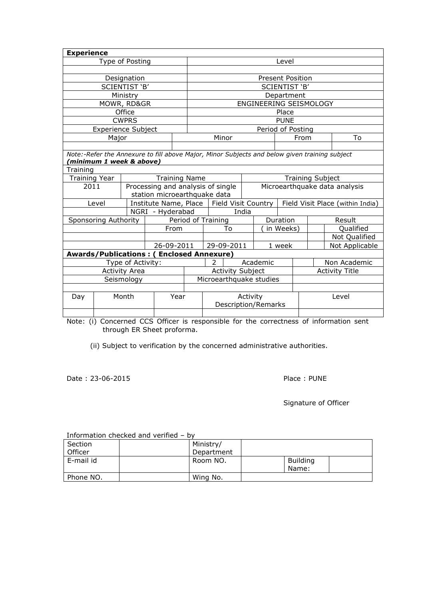| <b>Experience</b>                               |                           |                   |                  |                                   |                              |                                                                                               |                               |                        |                   |      |                         |                                  |
|-------------------------------------------------|---------------------------|-------------------|------------------|-----------------------------------|------------------------------|-----------------------------------------------------------------------------------------------|-------------------------------|------------------------|-------------------|------|-------------------------|----------------------------------|
| Type of Posting                                 |                           |                   |                  |                                   | Level                        |                                                                                               |                               |                        |                   |      |                         |                                  |
|                                                 |                           |                   |                  |                                   |                              |                                                                                               |                               |                        |                   |      |                         |                                  |
| Designation                                     |                           |                   |                  |                                   | <b>Present Position</b>      |                                                                                               |                               |                        |                   |      |                         |                                  |
|                                                 |                           | SCIENTIST 'B'     |                  |                                   |                              |                                                                                               |                               |                        | SCIENTIST 'B'     |      |                         |                                  |
|                                                 |                           | Ministry          |                  |                                   |                              |                                                                                               |                               |                        | Department        |      |                         |                                  |
|                                                 |                           | MOWR, RD&GR       |                  |                                   |                              |                                                                                               |                               | ENGINEERING SEISMOLOGY |                   |      |                         |                                  |
|                                                 |                           | Office            |                  |                                   |                              |                                                                                               |                               |                        | Place             |      |                         |                                  |
|                                                 |                           | <b>CWPRS</b>      |                  |                                   |                              |                                                                                               |                               |                        | <b>PUNE</b>       |      |                         |                                  |
|                                                 | <b>Experience Subject</b> |                   |                  |                                   |                              |                                                                                               |                               |                        | Period of Posting |      |                         |                                  |
|                                                 | Major                     |                   |                  |                                   |                              | Minor                                                                                         |                               |                        |                   | From |                         | To                               |
|                                                 |                           |                   |                  |                                   |                              |                                                                                               |                               |                        |                   |      |                         |                                  |
|                                                 |                           |                   |                  |                                   |                              | Note:-Refer the Annexure to fill above Major, Minor Subjects and below given training subject |                               |                        |                   |      |                         |                                  |
|                                                 | (minimum 1 week & above)  |                   |                  |                                   |                              |                                                                                               |                               |                        |                   |      |                         |                                  |
| Training                                        |                           |                   |                  |                                   |                              |                                                                                               |                               |                        |                   |      |                         |                                  |
| <b>Training Year</b>                            |                           |                   |                  | <b>Training Name</b>              |                              |                                                                                               |                               |                        |                   |      | <b>Training Subject</b> |                                  |
| 2011                                            |                           |                   |                  | Processing and analysis of single |                              |                                                                                               | Microearthquake data analysis |                        |                   |      |                         |                                  |
|                                                 |                           |                   |                  |                                   | station microearthquake data |                                                                                               |                               |                        |                   |      |                         |                                  |
|                                                 | Level                     |                   |                  |                                   |                              | Institute Name, Place   Field Visit Country                                                   |                               |                        |                   |      |                         | Field Visit Place (within India) |
|                                                 |                           |                   | NGRI - Hyderabad |                                   |                              |                                                                                               | India                         |                        |                   |      |                         |                                  |
|                                                 | Sponsoring Authority      |                   |                  |                                   | Period of Training           |                                                                                               |                               | Duration               |                   |      | Result                  |                                  |
|                                                 |                           |                   |                  | From                              |                              | To                                                                                            |                               | in Weeks)              |                   |      |                         | Qualified                        |
|                                                 |                           |                   |                  |                                   |                              |                                                                                               |                               |                        |                   |      |                         | Not Qualified                    |
|                                                 |                           |                   |                  | 26-09-2011                        |                              | 29-09-2011                                                                                    |                               |                        | 1 week            |      |                         | Not Applicable                   |
| <b>Awards/Publications: (Enclosed Annexure)</b> |                           |                   |                  |                                   |                              |                                                                                               |                               |                        |                   |      |                         |                                  |
|                                                 |                           | Type of Activity: |                  |                                   | 2                            |                                                                                               |                               | Academic               |                   |      |                         | Non Academic                     |
| <b>Activity Area</b>                            |                           |                   |                  |                                   |                              | <b>Activity Subject</b>                                                                       |                               |                        |                   |      |                         | <b>Activity Title</b>            |
| Seismology                                      |                           |                   |                  |                                   | Microearthquake studies      |                                                                                               |                               |                        |                   |      |                         |                                  |
|                                                 |                           |                   |                  |                                   |                              |                                                                                               |                               |                        |                   |      |                         |                                  |
| Month<br>Day                                    |                           |                   |                  | Year                              | Activity                     |                                                                                               |                               |                        | Level             |      |                         |                                  |
|                                                 |                           |                   |                  |                                   | <b>Description/Remarks</b>   |                                                                                               |                               |                        |                   |      |                         |                                  |
|                                                 |                           |                   |                  |                                   |                              |                                                                                               |                               |                        |                   |      |                         |                                  |

Note: (i) Concerned CCS Officer is responsible for the correctness of information sent through ER Sheet proforma.

(ii) Subject to verification by the concerned administrative authorities.

Date : 23-06-2015 Place : PUNE

Signature of Officer

|           | THOLITIQUOTE CHECKED QUU VEHITED – DV |            |                 |  |
|-----------|---------------------------------------|------------|-----------------|--|
| Section   |                                       | Ministry/  |                 |  |
| Officer   |                                       | Department |                 |  |
| E-mail id |                                       | Room NO.   | <b>Building</b> |  |
|           |                                       |            | Name:           |  |
| Phone NO. |                                       | Wing No.   |                 |  |

Information checked and verified – by